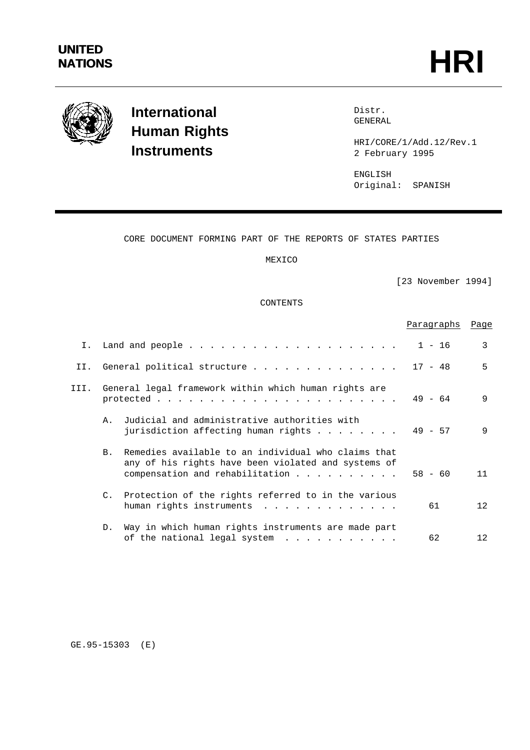

# **International Human Rights Instruments**

Distr. GENERAL

HRI/CORE/1/Add.12/Rev.1 2 February 1995

ENGLISH Original: SPANISH

# CORE DOCUMENT FORMING PART OF THE REPORTS OF STATES PARTIES

MEXICO

[23 November 1994]

### CONTENTS

|              |                                                                                                                                                              | Paragraphs | Page    |
|--------------|--------------------------------------------------------------------------------------------------------------------------------------------------------------|------------|---------|
| $T_{\rm{1}}$ |                                                                                                                                                              | $1 - 16$   | 3       |
| II.          | General political structure                                                                                                                                  | $17 - 48$  | 5       |
| III.         | General legal framework within which human rights are                                                                                                        | $49 - 64$  | 9       |
|              | Judicial and administrative authorities with<br>Α.<br>jurisdiction affecting human rights $\ldots$                                                           | $49 - 57$  | 9       |
|              | Remedies available to an individual who claims that<br>B.<br>any of his rights have been violated and systems of<br>compensation and rehabilitation $\ldots$ | $58 - 60$  | 11      |
|              | C. Protection of the rights referred to in the various<br>human rights instruments                                                                           | 61         | 12      |
|              | Way in which human rights instruments are made part<br>D <sub>1</sub><br>of the national legal system                                                        | 62         | $12 \,$ |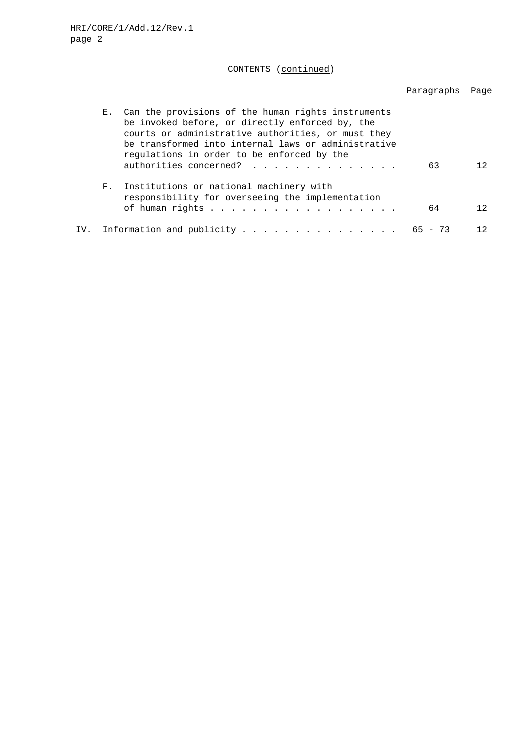# CONTENTS (continued)

# Paragraphs Page

| $E_{\rm{1}}$ . | Can the provisions of the human rights instruments<br>be invoked before, or directly enforced by, the<br>courts or administrative authorities, or must they<br>be transformed into internal laws or administrative<br>regulations in order to be enforced by the<br>authorities concerned?<br>63 | 12. |
|----------------|--------------------------------------------------------------------------------------------------------------------------------------------------------------------------------------------------------------------------------------------------------------------------------------------------|-----|
| $F_{\infty}$   | Institutions or national machinery with<br>responsibility for overseeing the implementation<br>of human rights<br>64                                                                                                                                                                             | 12. |
|                | IV. Information and publicity 65 - 73                                                                                                                                                                                                                                                            | 12. |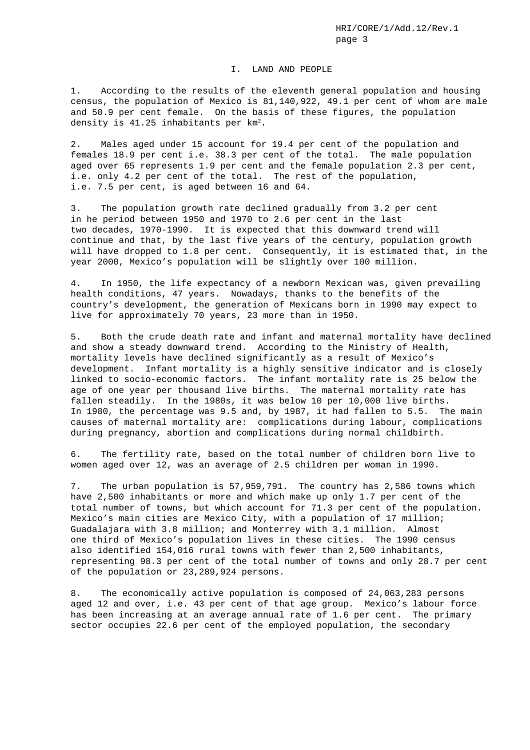#### I. LAND AND PEOPLE

1. According to the results of the eleventh general population and housing census, the population of Mexico is 81,140,922, 49.1 per cent of whom are male and 50.9 per cent female. On the basis of these figures, the population density is  $41.25$  inhabitants per  $km<sup>2</sup>$ .

2. Males aged under 15 account for 19.4 per cent of the population and females 18.9 per cent i.e. 38.3 per cent of the total. The male population aged over 65 represents 1.9 per cent and the female population 2.3 per cent, i.e. only 4.2 per cent of the total. The rest of the population, i.e. 7.5 per cent, is aged between 16 and 64.

3. The population growth rate declined gradually from 3.2 per cent in he period between 1950 and 1970 to 2.6 per cent in the last two decades, 1970-1990. It is expected that this downward trend will continue and that, by the last five years of the century, population growth will have dropped to 1.8 per cent. Consequently, it is estimated that, in the year 2000, Mexico's population will be slightly over 100 million.

4. In 1950, the life expectancy of a newborn Mexican was, given prevailing health conditions, 47 years. Nowadays, thanks to the benefits of the country's development, the generation of Mexicans born in 1990 may expect to live for approximately 70 years, 23 more than in 1950.

5. Both the crude death rate and infant and maternal mortality have declined and show a steady downward trend. According to the Ministry of Health, mortality levels have declined significantly as a result of Mexico's development. Infant mortality is a highly sensitive indicator and is closely linked to socio-economic factors. The infant mortality rate is 25 below the age of one year per thousand live births. The maternal mortality rate has fallen steadily. In the 1980s, it was below 10 per 10,000 live births. In 1980, the percentage was 9.5 and, by 1987, it had fallen to 5.5. The main causes of maternal mortality are: complications during labour, complications during pregnancy, abortion and complications during normal childbirth.

6. The fertility rate, based on the total number of children born live to women aged over 12, was an average of 2.5 children per woman in 1990.

7. The urban population is 57,959,791. The country has 2,586 towns which have 2,500 inhabitants or more and which make up only 1.7 per cent of the total number of towns, but which account for 71.3 per cent of the population. Mexico's main cities are Mexico City, with a population of 17 million; Guadalajara with 3.8 million; and Monterrey with 3.1 million. Almost one third of Mexico's population lives in these cities. The 1990 census also identified 154,016 rural towns with fewer than 2,500 inhabitants, representing 98.3 per cent of the total number of towns and only 28.7 per cent of the population or 23,289,924 persons.

8. The economically active population is composed of 24,063,283 persons aged 12 and over, i.e. 43 per cent of that age group. Mexico's labour force has been increasing at an average annual rate of 1.6 per cent. The primary sector occupies 22.6 per cent of the employed population, the secondary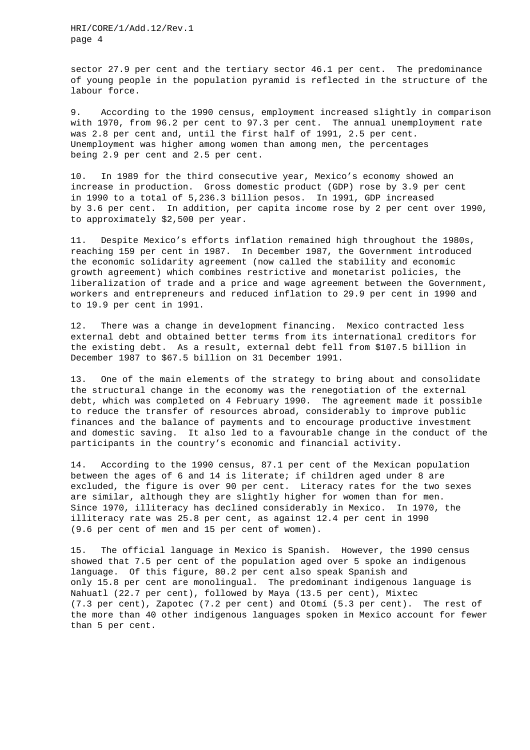HRI/CORE/1/Add.12/Rev.1 page 4

sector 27.9 per cent and the tertiary sector 46.1 per cent. The predominance of young people in the population pyramid is reflected in the structure of the labour force.

9. According to the 1990 census, employment increased slightly in comparison with 1970, from 96.2 per cent to 97.3 per cent. The annual unemployment rate was 2.8 per cent and, until the first half of 1991, 2.5 per cent. Unemployment was higher among women than among men, the percentages being 2.9 per cent and 2.5 per cent.

10. In 1989 for the third consecutive year, Mexico's economy showed an increase in production. Gross domestic product (GDP) rose by 3.9 per cent in 1990 to a total of 5,236.3 billion pesos. In 1991, GDP increased by 3.6 per cent. In addition, per capita income rose by 2 per cent over 1990, to approximately \$2,500 per year.

11. Despite Mexico's efforts inflation remained high throughout the 1980s, reaching 159 per cent in 1987. In December 1987, the Government introduced the economic solidarity agreement (now called the stability and economic growth agreement) which combines restrictive and monetarist policies, the liberalization of trade and a price and wage agreement between the Government, workers and entrepreneurs and reduced inflation to 29.9 per cent in 1990 and to 19.9 per cent in 1991.

12. There was a change in development financing. Mexico contracted less external debt and obtained better terms from its international creditors for the existing debt. As a result, external debt fell from \$107.5 billion in December 1987 to \$67.5 billion on 31 December 1991.

13. One of the main elements of the strategy to bring about and consolidate the structural change in the economy was the renegotiation of the external debt, which was completed on 4 February 1990. The agreement made it possible to reduce the transfer of resources abroad, considerably to improve public finances and the balance of payments and to encourage productive investment and domestic saving. It also led to a favourable change in the conduct of the participants in the country's economic and financial activity.

14. According to the 1990 census, 87.1 per cent of the Mexican population between the ages of 6 and 14 is literate; if children aged under 8 are excluded, the figure is over 90 per cent. Literacy rates for the two sexes are similar, although they are slightly higher for women than for men. Since 1970, illiteracy has declined considerably in Mexico. In 1970, the illiteracy rate was 25.8 per cent, as against 12.4 per cent in 1990 (9.6 per cent of men and 15 per cent of women).

15. The official language in Mexico is Spanish. However, the 1990 census showed that 7.5 per cent of the population aged over 5 spoke an indigenous language. Of this figure, 80.2 per cent also speak Spanish and only 15.8 per cent are monolingual. The predominant indigenous language is Nahuatl (22.7 per cent), followed by Maya (13.5 per cent), Mixtec (7.3 per cent), Zapotec (7.2 per cent) and Otomí (5.3 per cent). The rest of the more than 40 other indigenous languages spoken in Mexico account for fewer than 5 per cent.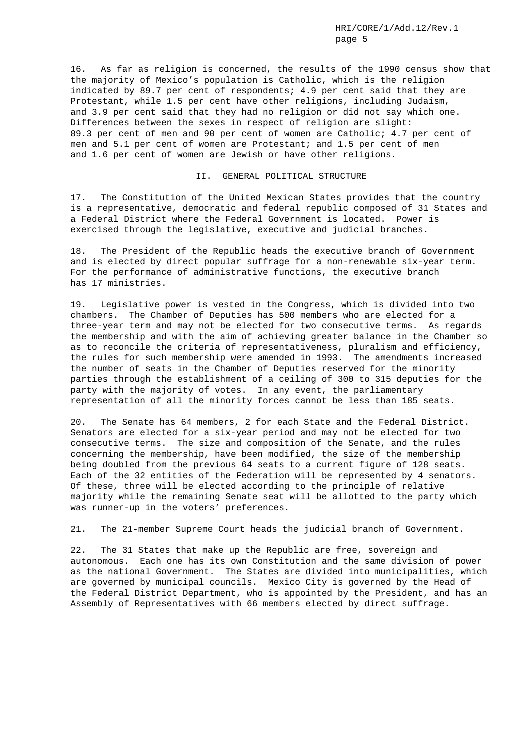16. As far as religion is concerned, the results of the 1990 census show that the majority of Mexico's population is Catholic, which is the religion indicated by 89.7 per cent of respondents; 4.9 per cent said that they are Protestant, while 1.5 per cent have other religions, including Judaism, and 3.9 per cent said that they had no religion or did not say which one. Differences between the sexes in respect of religion are slight: 89.3 per cent of men and 90 per cent of women are Catholic; 4.7 per cent of men and 5.1 per cent of women are Protestant; and 1.5 per cent of men and 1.6 per cent of women are Jewish or have other religions.

#### II. GENERAL POLITICAL STRUCTURE

17. The Constitution of the United Mexican States provides that the country is a representative, democratic and federal republic composed of 31 States and a Federal District where the Federal Government is located. Power is exercised through the legislative, executive and judicial branches.

18. The President of the Republic heads the executive branch of Government and is elected by direct popular suffrage for a non-renewable six-year term. For the performance of administrative functions, the executive branch has 17 ministries.

19. Legislative power is vested in the Congress, which is divided into two chambers. The Chamber of Deputies has 500 members who are elected for a three-year term and may not be elected for two consecutive terms. As regards the membership and with the aim of achieving greater balance in the Chamber so as to reconcile the criteria of representativeness, pluralism and efficiency, the rules for such membership were amended in 1993. The amendments increased the number of seats in the Chamber of Deputies reserved for the minority parties through the establishment of a ceiling of 300 to 315 deputies for the party with the majority of votes. In any event, the parliamentary representation of all the minority forces cannot be less than 185 seats.

20. The Senate has 64 members, 2 for each State and the Federal District. Senators are elected for a six-year period and may not be elected for two consecutive terms. The size and composition of the Senate, and the rules concerning the membership, have been modified, the size of the membership being doubled from the previous 64 seats to a current figure of 128 seats. Each of the 32 entities of the Federation will be represented by 4 senators. Of these, three will be elected according to the principle of relative majority while the remaining Senate seat will be allotted to the party which was runner-up in the voters' preferences.

21. The 21-member Supreme Court heads the judicial branch of Government.

22. The 31 States that make up the Republic are free, sovereign and autonomous. Each one has its own Constitution and the same division of power as the national Government. The States are divided into municipalities, which are governed by municipal councils. Mexico City is governed by the Head of the Federal District Department, who is appointed by the President, and has an Assembly of Representatives with 66 members elected by direct suffrage.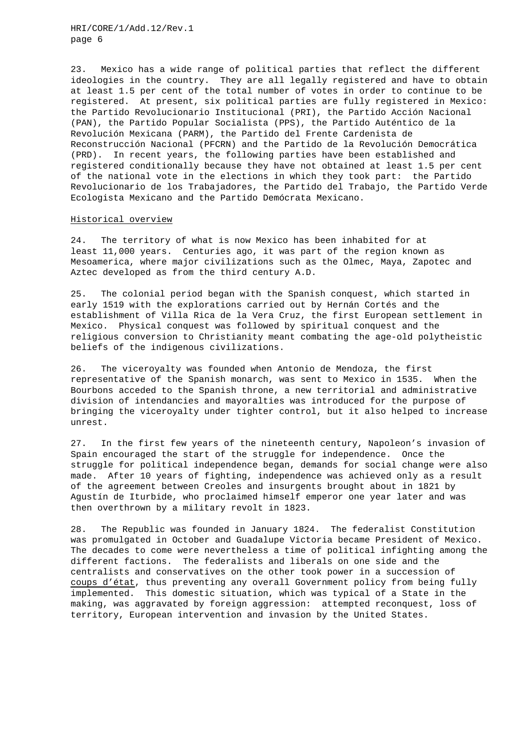HRI/CORE/1/Add.12/Rev.1 page 6

23. Mexico has a wide range of political parties that reflect the different ideologies in the country. They are all legally registered and have to obtain at least 1.5 per cent of the total number of votes in order to continue to be registered. At present, six political parties are fully registered in Mexico: the Partido Revolucionario Institucional (PRI), the Partido Acción Nacional (PAN), the Partido Popular Socialista (PPS), the Partido Auténtico de la Revolución Mexicana (PARM), the Partido del Frente Cardenista de Reconstrucción Nacional (PFCRN) and the Partido de la Revolución Democrática (PRD). In recent years, the following parties have been established and registered conditionally because they have not obtained at least 1.5 per cent of the national vote in the elections in which they took part: the Partido Revolucionario de los Trabajadores, the Partido del Trabajo, the Partido Verde Ecologista Mexicano and the Partido Demócrata Mexicano.

#### Historical overview

24. The territory of what is now Mexico has been inhabited for at least 11,000 years. Centuries ago, it was part of the region known as Mesoamerica, where major civilizations such as the Olmec, Maya, Zapotec and Aztec developed as from the third century A.D.

25. The colonial period began with the Spanish conquest, which started in early 1519 with the explorations carried out by Hernán Cortés and the establishment of Villa Rica de la Vera Cruz, the first European settlement in Mexico. Physical conquest was followed by spiritual conquest and the religious conversion to Christianity meant combating the age-old polytheistic beliefs of the indigenous civilizations.

26. The viceroyalty was founded when Antonio de Mendoza, the first representative of the Spanish monarch, was sent to Mexico in 1535. When the Bourbons acceded to the Spanish throne, a new territorial and administrative division of intendancies and mayoralties was introduced for the purpose of bringing the viceroyalty under tighter control, but it also helped to increase unrest.

27. In the first few years of the nineteenth century, Napoleon's invasion of Spain encouraged the start of the struggle for independence. Once the struggle for political independence began, demands for social change were also made. After 10 years of fighting, independence was achieved only as a result of the agreement between Creoles and insurgents brought about in 1821 by Agustín de Iturbide, who proclaimed himself emperor one year later and was then overthrown by a military revolt in 1823.

28. The Republic was founded in January 1824. The federalist Constitution was promulgated in October and Guadalupe Victoria became President of Mexico. The decades to come were nevertheless a time of political infighting among the different factions. The federalists and liberals on one side and the centralists and conservatives on the other took power in a succession of coups d'état, thus preventing any overall Government policy from being fully implemented. This domestic situation, which was typical of a State in the making, was aggravated by foreign aggression: attempted reconquest, loss of territory, European intervention and invasion by the United States.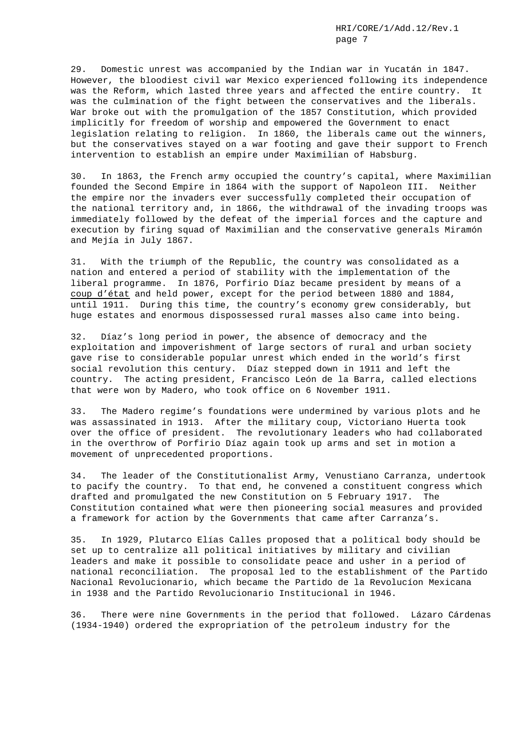29. Domestic unrest was accompanied by the Indian war in Yucatán in 1847. However, the bloodiest civil war Mexico experienced following its independence was the Reform, which lasted three years and affected the entire country. It was the culmination of the fight between the conservatives and the liberals. War broke out with the promulgation of the 1857 Constitution, which provided implicitly for freedom of worship and empowered the Government to enact legislation relating to religion. In 1860, the liberals came out the winners, but the conservatives stayed on a war footing and gave their support to French intervention to establish an empire under Maximilian of Habsburg.

30. In 1863, the French army occupied the country's capital, where Maximilian founded the Second Empire in 1864 with the support of Napoleon III. Neither the empire nor the invaders ever successfully completed their occupation of the national territory and, in 1866, the withdrawal of the invading troops was immediately followed by the defeat of the imperial forces and the capture and execution by firing squad of Maximilian and the conservative generals Miramón and Mejía in July 1867.

31. With the triumph of the Republic, the country was consolidated as a nation and entered a period of stability with the implementation of the liberal programme. In 1876, Porfirio Díaz became president by means of a coup d'état and held power, except for the period between 1880 and 1884, until 1911. During this time, the country's economy grew considerably, but huge estates and enormous dispossessed rural masses also came into being.

32. Díaz's long period in power, the absence of democracy and the exploitation and impoverishment of large sectors of rural and urban society gave rise to considerable popular unrest which ended in the world's first social revolution this century. Díaz stepped down in 1911 and left the country. The acting president, Francisco León de la Barra, called elections that were won by Madero, who took office on 6 November 1911.

33. The Madero regime's foundations were undermined by various plots and he was assassinated in 1913. After the military coup, Victoriano Huerta took over the office of president. The revolutionary leaders who had collaborated in the overthrow of Porfirio Díaz again took up arms and set in motion a movement of unprecedented proportions.

34. The leader of the Constitutionalist Army, Venustiano Carranza, undertook to pacify the country. To that end, he convened a constituent congress which drafted and promulgated the new Constitution on 5 February 1917. The Constitution contained what were then pioneering social measures and provided a framework for action by the Governments that came after Carranza's.

35. In 1929, Plutarco Elías Calles proposed that a political body should be set up to centralize all political initiatives by military and civilian leaders and make it possible to consolidate peace and usher in a period of national reconciliation. The proposal led to the establishment of the Partido Nacional Revolucionario, which became the Partido de la Revolucíon Mexicana in 1938 and the Partido Revolucionario Institucional in 1946.

36. There were nine Governments in the period that followed. Lázaro Cárdenas (1934-1940) ordered the expropriation of the petroleum industry for the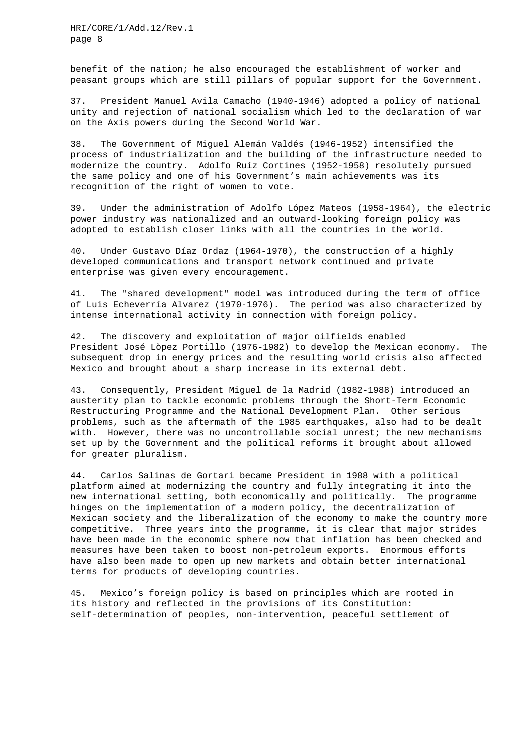HRI/CORE/1/Add.12/Rev.1 page 8

benefit of the nation; he also encouraged the establishment of worker and peasant groups which are still pillars of popular support for the Government.

37. President Manuel Avila Camacho (1940-1946) adopted a policy of national unity and rejection of national socialism which led to the declaration of war on the Axis powers during the Second World War.

38. The Government of Miguel Alemán Valdés (1946-1952) intensified the process of industrialization and the building of the infrastructure needed to modernize the country. Adolfo Ruíz Cortines (1952-1958) resolutely pursued the same policy and one of his Government's main achievements was its recognition of the right of women to vote.

39. Under the administration of Adolfo López Mateos (1958-1964), the electric power industry was nationalized and an outward-looking foreign policy was adopted to establish closer links with all the countries in the world.

40. Under Gustavo Díaz Ordaz (1964-1970), the construction of a highly developed communications and transport network continued and private enterprise was given every encouragement.

41. The "shared development" model was introduced during the term of office of Luis Echeverría Alvarez (1970-1976). The period was also characterized by intense international activity in connection with foreign policy.

42. The discovery and exploitation of major oilfields enabled President José Lòpez Portillo (1976-1982) to develop the Mexican economy. The subsequent drop in energy prices and the resulting world crisis also affected Mexico and brought about a sharp increase in its external debt.

43. Consequently, President Miguel de la Madrid (1982-1988) introduced an austerity plan to tackle economic problems through the Short-Term Economic Restructuring Programme and the National Development Plan. Other serious problems, such as the aftermath of the 1985 earthquakes, also had to be dealt with. However, there was no uncontrollable social unrest; the new mechanisms set up by the Government and the political reforms it brought about allowed for greater pluralism.

44. Carlos Salinas de Gortari became President in 1988 with a political platform aimed at modernizing the country and fully integrating it into the new international setting, both economically and politically. The programme hinges on the implementation of a modern policy, the decentralization of Mexican society and the liberalization of the economy to make the country more competitive. Three years into the programme, it is clear that major strides have been made in the economic sphere now that inflation has been checked and measures have been taken to boost non-petroleum exports. Enormous efforts have also been made to open up new markets and obtain better international terms for products of developing countries.

45. Mexico's foreign policy is based on principles which are rooted in its history and reflected in the provisions of its Constitution: self-determination of peoples, non-intervention, peaceful settlement of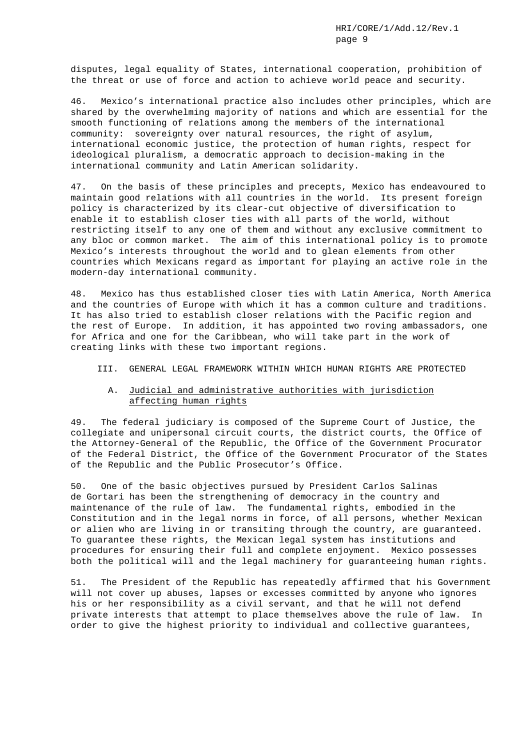disputes, legal equality of States, international cooperation, prohibition of the threat or use of force and action to achieve world peace and security.

46. Mexico's international practice also includes other principles, which are shared by the overwhelming majority of nations and which are essential for the smooth functioning of relations among the members of the international community: sovereignty over natural resources, the right of asylum, international economic justice, the protection of human rights, respect for ideological pluralism, a democratic approach to decision-making in the international community and Latin American solidarity.

47. On the basis of these principles and precepts, Mexico has endeavoured to maintain good relations with all countries in the world. Its present foreign policy is characterized by its clear-cut objective of diversification to enable it to establish closer ties with all parts of the world, without restricting itself to any one of them and without any exclusive commitment to any bloc or common market. The aim of this international policy is to promote Mexico's interests throughout the world and to glean elements from other countries which Mexicans regard as important for playing an active role in the modern-day international community.

48. Mexico has thus established closer ties with Latin America, North America and the countries of Europe with which it has a common culture and traditions. It has also tried to establish closer relations with the Pacific region and the rest of Europe. In addition, it has appointed two roving ambassadors, one for Africa and one for the Caribbean, who will take part in the work of creating links with these two important regions.

#### III. GENERAL LEGAL FRAMEWORK WITHIN WHICH HUMAN RIGHTS ARE PROTECTED

## A. Judicial and administrative authorities with jurisdiction affecting human rights

49. The federal judiciary is composed of the Supreme Court of Justice, the collegiate and unipersonal circuit courts, the district courts, the Office of the Attorney-General of the Republic, the Office of the Government Procurator of the Federal District, the Office of the Government Procurator of the States of the Republic and the Public Prosecutor's Office.

50. One of the basic objectives pursued by President Carlos Salinas de Gortari has been the strengthening of democracy in the country and maintenance of the rule of law. The fundamental rights, embodied in the Constitution and in the legal norms in force, of all persons, whether Mexican or alien who are living in or transiting through the country, are guaranteed. To guarantee these rights, the Mexican legal system has institutions and procedures for ensuring their full and complete enjoyment. Mexico possesses both the political will and the legal machinery for guaranteeing human rights.

51. The President of the Republic has repeatedly affirmed that his Government will not cover up abuses, lapses or excesses committed by anyone who ignores his or her responsibility as a civil servant, and that he will not defend private interests that attempt to place themselves above the rule of law. In order to give the highest priority to individual and collective guarantees,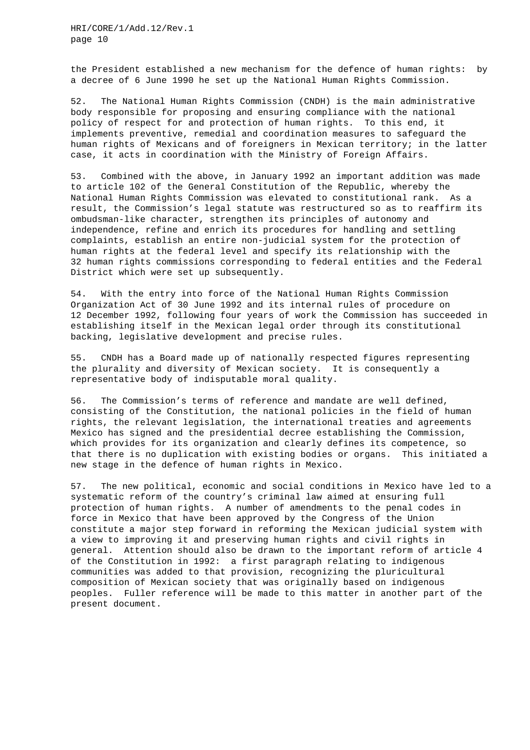the President established a new mechanism for the defence of human rights: by a decree of 6 June 1990 he set up the National Human Rights Commission.

52. The National Human Rights Commission (CNDH) is the main administrative body responsible for proposing and ensuring compliance with the national policy of respect for and protection of human rights. To this end, it implements preventive, remedial and coordination measures to safeguard the human rights of Mexicans and of foreigners in Mexican territory; in the latter case, it acts in coordination with the Ministry of Foreign Affairs.

53. Combined with the above, in January 1992 an important addition was made to article 102 of the General Constitution of the Republic, whereby the National Human Rights Commission was elevated to constitutional rank. As a result, the Commission's legal statute was restructured so as to reaffirm its ombudsman-like character, strengthen its principles of autonomy and independence, refine and enrich its procedures for handling and settling complaints, establish an entire non-judicial system for the protection of human rights at the federal level and specify its relationship with the 32 human rights commissions corresponding to federal entities and the Federal District which were set up subsequently.

54. With the entry into force of the National Human Rights Commission Organization Act of 30 June 1992 and its internal rules of procedure on 12 December 1992, following four years of work the Commission has succeeded in establishing itself in the Mexican legal order through its constitutional backing, legislative development and precise rules.

55. CNDH has a Board made up of nationally respected figures representing the plurality and diversity of Mexican society. It is consequently a representative body of indisputable moral quality.

56. The Commission's terms of reference and mandate are well defined, consisting of the Constitution, the national policies in the field of human rights, the relevant legislation, the international treaties and agreements Mexico has signed and the presidential decree establishing the Commission, which provides for its organization and clearly defines its competence, so that there is no duplication with existing bodies or organs. This initiated a new stage in the defence of human rights in Mexico.

57. The new political, economic and social conditions in Mexico have led to a systematic reform of the country's criminal law aimed at ensuring full protection of human rights. A number of amendments to the penal codes in force in Mexico that have been approved by the Congress of the Union constitute a major step forward in reforming the Mexican judicial system with a view to improving it and preserving human rights and civil rights in general. Attention should also be drawn to the important reform of article 4 of the Constitution in 1992: a first paragraph relating to indigenous communities was added to that provision, recognizing the pluricultural composition of Mexican society that was originally based on indigenous peoples. Fuller reference will be made to this matter in another part of the present document.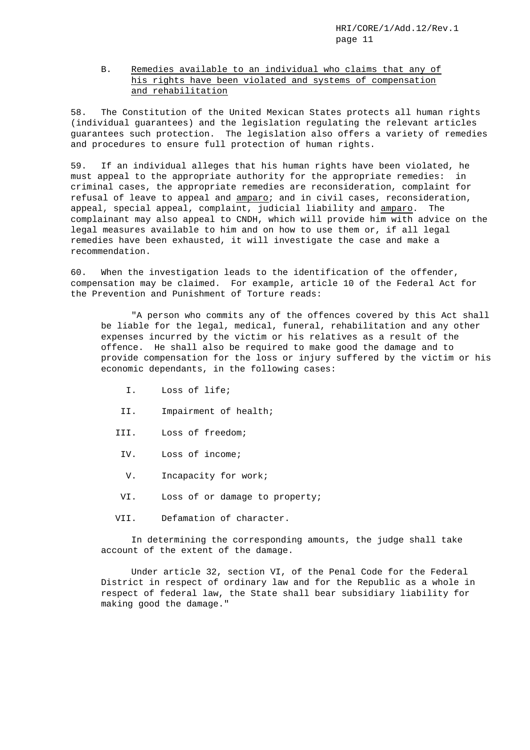# B. Remedies available to an individual who claims that any of his rights have been violated and systems of compensation and rehabilitation

58. The Constitution of the United Mexican States protects all human rights (individual guarantees) and the legislation regulating the relevant articles guarantees such protection. The legislation also offers a variety of remedies and procedures to ensure full protection of human rights.

59. If an individual alleges that his human rights have been violated, he must appeal to the appropriate authority for the appropriate remedies: in criminal cases, the appropriate remedies are reconsideration, complaint for refusal of leave to appeal and amparo; and in civil cases, reconsideration, appeal, special appeal, complaint, judicial liability and amparo. The complainant may also appeal to CNDH, which will provide him with advice on the legal measures available to him and on how to use them or, if all legal remedies have been exhausted, it will investigate the case and make a recommendation.

60. When the investigation leads to the identification of the offender, compensation may be claimed. For example, article 10 of the Federal Act for the Prevention and Punishment of Torture reads:

"A person who commits any of the offences covered by this Act shall be liable for the legal, medical, funeral, rehabilitation and any other expenses incurred by the victim or his relatives as a result of the offence. He shall also be required to make good the damage and to provide compensation for the loss or injury suffered by the victim or his economic dependants, in the following cases:

- I. Loss of life;
- II. Impairment of health;
- III. Loss of freedom;
	- IV. Loss of income;
	- V. Incapacity for work;
- VI. Loss of or damage to property;
- VII. Defamation of character.

In determining the corresponding amounts, the judge shall take account of the extent of the damage.

Under article 32, section VI, of the Penal Code for the Federal District in respect of ordinary law and for the Republic as a whole in respect of federal law, the State shall bear subsidiary liability for making good the damage."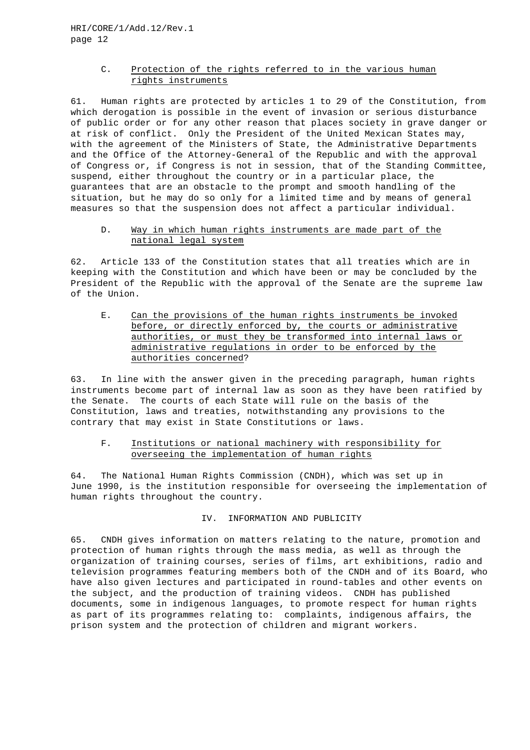## C. Protection of the rights referred to in the various human rights instruments

61. Human rights are protected by articles 1 to 29 of the Constitution, from which derogation is possible in the event of invasion or serious disturbance of public order or for any other reason that places society in grave danger or at risk of conflict. Only the President of the United Mexican States may, with the agreement of the Ministers of State, the Administrative Departments and the Office of the Attorney-General of the Republic and with the approval of Congress or, if Congress is not in session, that of the Standing Committee, suspend, either throughout the country or in a particular place, the guarantees that are an obstacle to the prompt and smooth handling of the situation, but he may do so only for a limited time and by means of general measures so that the suspension does not affect a particular individual.

## D. Way in which human rights instruments are made part of the national legal system

62. Article 133 of the Constitution states that all treaties which are in keeping with the Constitution and which have been or may be concluded by the President of the Republic with the approval of the Senate are the supreme law of the Union.

E. Can the provisions of the human rights instruments be invoked before, or directly enforced by, the courts or administrative authorities, or must they be transformed into internal laws or administrative regulations in order to be enforced by the authorities concerned?

63. In line with the answer given in the preceding paragraph, human rights instruments become part of internal law as soon as they have been ratified by the Senate. The courts of each State will rule on the basis of the Constitution, laws and treaties, notwithstanding any provisions to the contrary that may exist in State Constitutions or laws.

# F. Institutions or national machinery with responsibility for overseeing the implementation of human rights

64. The National Human Rights Commission (CNDH), which was set up in June 1990, is the institution responsible for overseeing the implementation of human rights throughout the country.

#### IV. INFORMATION AND PUBLICITY

65. CNDH gives information on matters relating to the nature, promotion and protection of human rights through the mass media, as well as through the organization of training courses, series of films, art exhibitions, radio and television programmes featuring members both of the CNDH and of its Board, who have also given lectures and participated in round-tables and other events on the subject, and the production of training videos. CNDH has published documents, some in indigenous languages, to promote respect for human rights as part of its programmes relating to: complaints, indigenous affairs, the prison system and the protection of children and migrant workers.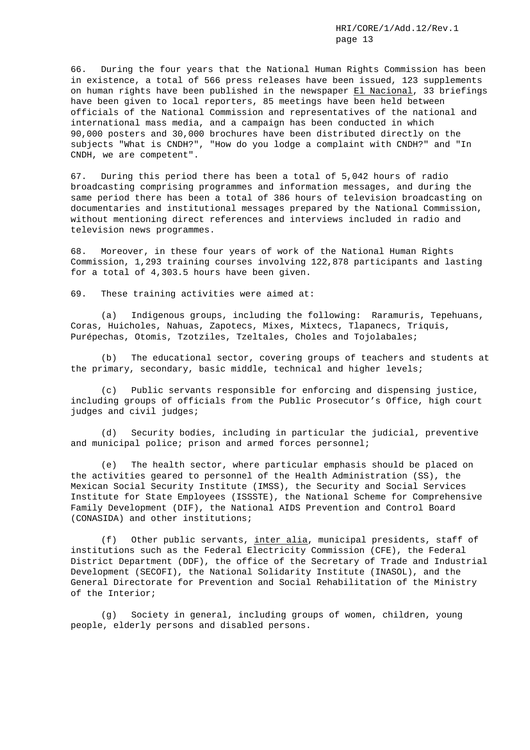66. During the four years that the National Human Rights Commission has been in existence, a total of 566 press releases have been issued, 123 supplements on human rights have been published in the newspaper El Nacional, 33 briefings have been given to local reporters, 85 meetings have been held between officials of the National Commission and representatives of the national and international mass media, and a campaign has been conducted in which 90,000 posters and 30,000 brochures have been distributed directly on the subjects "What is CNDH?", "How do you lodge a complaint with CNDH?" and "In CNDH, we are competent".

67. During this period there has been a total of 5,042 hours of radio broadcasting comprising programmes and information messages, and during the same period there has been a total of 386 hours of television broadcasting on documentaries and institutional messages prepared by the National Commission, without mentioning direct references and interviews included in radio and television news programmes.

68. Moreover, in these four years of work of the National Human Rights Commission, 1,293 training courses involving 122,878 participants and lasting for a total of 4,303.5 hours have been given.

69. These training activities were aimed at:

(a) Indigenous groups, including the following: Raramuris, Tepehuans, Coras, Huicholes, Nahuas, Zapotecs, Mixes, Mixtecs, Tlapanecs, Triquis, Purépechas, Otomis, Tzotziles, Tzeltales, Choles and Tojolabales;

(b) The educational sector, covering groups of teachers and students at the primary, secondary, basic middle, technical and higher levels;

(c) Public servants responsible for enforcing and dispensing justice, including groups of officials from the Public Prosecutor's Office, high court judges and civil judges;

(d) Security bodies, including in particular the judicial, preventive and municipal police; prison and armed forces personnel;

(e) The health sector, where particular emphasis should be placed on the activities geared to personnel of the Health Administration (SS), the Mexican Social Security Institute (IMSS), the Security and Social Services Institute for State Employees (ISSSTE), the National Scheme for Comprehensive Family Development (DIF), the National AIDS Prevention and Control Board (CONASIDA) and other institutions;

(f) Other public servants, inter alia, municipal presidents, staff of institutions such as the Federal Electricity Commission (CFE), the Federal District Department (DDF), the office of the Secretary of Trade and Industrial Development (SECOFI), the National Solidarity Institute (INASOL), and the General Directorate for Prevention and Social Rehabilitation of the Ministry of the Interior;

(g) Society in general, including groups of women, children, young people, elderly persons and disabled persons.